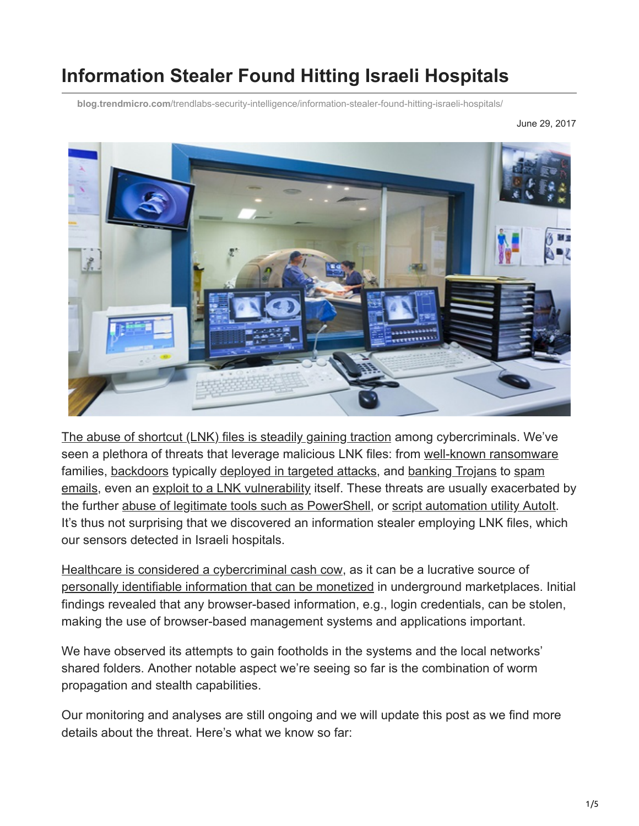# **Information Stealer Found Hitting Israeli Hospitals**

**blog.trendmicro.com**[/trendlabs-security-intelligence/information-stealer-found-hitting-israeli-hospitals/](http://blog.trendmicro.com/trendlabs-security-intelligence/information-stealer-found-hitting-israeli-hospitals/)

June 29, 2017



[The abuse of shortcut \(LNK\) files is steadily gaining traction](http://blog.trendmicro.com/trendlabs-security-intelligence/rising-trend-attackers-using-lnk-files-download-malware/) among cybercriminals. We've seen a plethora of threats that leverage malicious LNK files: from [well-known ransomware](https://www.trendmicro.com/vinfo/us/threat-encyclopedia/spam/3606/zip-within-a-zip-contains-locky-ransomware) [families, backdoors typically deployed in targeted attacks, and banking Trojans to spam](http://blog.trendmicro.com/trendlabs-security-intelligence/certificated-invoices-exploiting-lnk-extension/) emails, even an [exploit to a LNK vulnerability](http://blog.trendmicro.com/trendlabs-security-intelligence/worm-posing-as-a-font-file-trigger-exploits/) itself. These threats are usually exacerbated by the further [abuse of legitimate tools such as PowerShell,](https://www.trendmicro.com/vinfo/us/security/news/security-technology/security-101-the-rise-of-fileless-threats-that-abuse-powershell) or [script automation utility AutoIt](http://blog.trendmicro.com/trendlabs-security-intelligence/autoit-used-to-spread-malware-and-toolsets/). It's thus not surprising that we discovered an information stealer employing LNK files, which our sensors detected in Israeli hospitals.

[Healthcare is considered a cybercriminal cash cow](https://www.trendmicro.com/vinfo/us/security/news/cyber-attacks/healthcare-under-attack-stolen-medical-records), as it can be a lucrative source of [personally identifiable information that can be monetized](http://blog.trendmicro.com/trendlabs-security-intelligence/healthcare-underground-electronic-health-records-sale/) in underground marketplaces. Initial findings revealed that any browser-based information, e.g., login credentials, can be stolen, making the use of browser-based management systems and applications important.

We have observed its attempts to gain footholds in the systems and the local networks' shared folders. Another notable aspect we're seeing so far is the combination of worm propagation and stealth capabilities.

Our monitoring and analyses are still ongoing and we will update this post as we find more details about the threat. Here's what we know so far: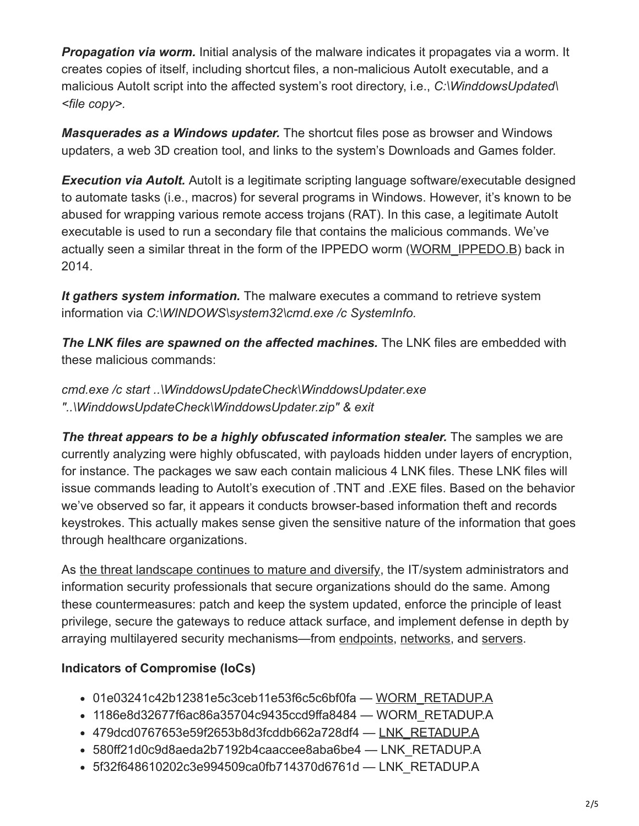**Propagation via worm.** Initial analysis of the malware indicates it propagates via a worm. It creates copies of itself, including shortcut files, a non-malicious AutoIt executable, and a malicious AutoIt script into the affected system's root directory, i.e., *C:\WinddowsUpdated\ <file copy>.*

*Masquerades as a Windows updater.* The shortcut files pose as browser and Windows updaters, a web 3D creation tool, and links to the system's Downloads and Games folder.

**Execution via AutoIt.** AutoIt is a legitimate scripting language software/executable designed to automate tasks (i.e., macros) for several programs in Windows. However, it's known to be abused for wrapping various remote access trojans (RAT). In this case, a legitimate AutoIt executable is used to run a secondary file that contains the malicious commands. We've actually seen a similar threat in the form of the IPPEDO worm ([WORM\\_IPPEDO.B\)](https://www.trendmicro.com/vinfo/us/threat-encyclopedia/malware/worm_ippedo.b) back in 2014.

*It gathers system information.* The malware executes a command to retrieve system information via *C:\WINDOWS\system32\cmd.exe /c SystemInfo.*

**The LNK files are spawned on the affected machines.** The LNK files are embedded with these malicious commands:

*cmd.exe /c start ..\WinddowsUpdateCheck\WinddowsUpdater.exe "..\WinddowsUpdateCheck\WinddowsUpdater.zip" & exit*

**The threat appears to be a highly obfuscated information stealer.** The samples we are currently analyzing were highly obfuscated, with payloads hidden under layers of encryption, for instance. The packages we saw each contain malicious 4 LNK files. These LNK files will issue commands leading to AutoIt's execution of .TNT and .EXE files. Based on the behavior we've observed so far, it appears it conducts browser-based information theft and records keystrokes. This actually makes sense given the sensitive nature of the information that goes through healthcare organizations.

As [the threat landscape continues to mature and diversify](https://www.trendmicro.com/vinfo/us/security/research-and-analysis/predictions/2017), the IT/system administrators and information security professionals that secure organizations should do the same. Among these countermeasures: patch and keep the system updated, enforce the principle of least privilege, secure the gateways to reduce attack surface, and implement defense in depth by arraying multilayered security mechanisms—from [endpoints](http://blog.trendmicro.com/en_us/business/products/user-protection/sps.html), [networks,](http://blog.trendmicro.com/en_us/business/products/network/advanced-threat-protection.html) and [servers](http://blog.trendmicro.com/en_us/business/products/hybrid-cloud.html).

### **Indicators of Compromise (IoCs)**

- 01e03241c42b12381e5c3ceb11e53f6c5c6bf0fa — [WORM\\_RETADUP.A](https://www.trendmicro.com/vinfo/us/threat-encyclopedia/malware/WORM_RETADUP.A)
- 1186e8d32677f6ac86a35704c9435ccd9ffa8484 WORM\_RETADUP.A
- 479dcd0767653e59f2653b8d3fcddb662a728df4 — [LNK\\_RETADUP.A](https://www.trendmicro.com/vinfo/us/threat-encyclopedia/malware/LNK_RETADUP.A)
- 580ff21d0c9d8aeda2b7192b4caaccee8aba6be4 LNK\_RETADUP.A
- 5f32f648610202c3e994509ca0fb714370d6761d LNK\_RETADUP.A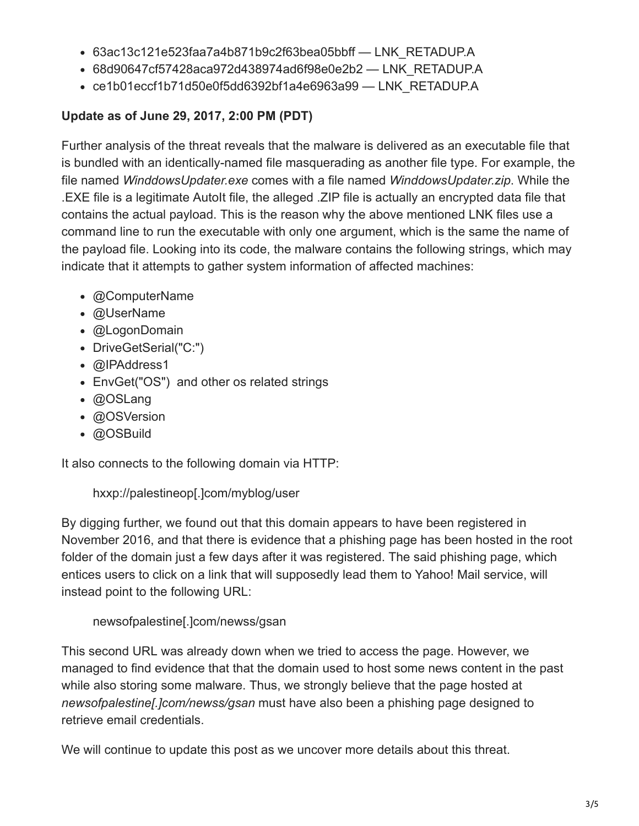- 63ac13c121e523faa7a4b871b9c2f63bea05bbff LNK\_RETADUP.A
- 68d90647cf57428aca972d438974ad6f98e0e2b2 LNK\_RETADUP.A
- ce1b01eccf1b71d50e0f5dd6392bf1a4e6963a99 LNK\_RETADUP.A

## **Update as of June 29, 2017, 2:00 PM (PDT)**

Further analysis of the threat reveals that the malware is delivered as an executable file that is bundled with an identically-named file masquerading as another file type. For example, the file named *WinddowsUpdater.exe* comes with a file named *WinddowsUpdater.zip*. While the .EXE file is a legitimate AutoIt file, the alleged .ZIP file is actually an encrypted data file that contains the actual payload. This is the reason why the above mentioned LNK files use a command line to run the executable with only one argument, which is the same the name of the payload file. Looking into its code, the malware contains the following strings, which may indicate that it attempts to gather system information of affected machines:

- @ComputerName
- @UserName
- @LogonDomain
- DriveGetSerial("C:")
- @IPAddress1
- EnvGet("OS") and other os related strings
- @OSLang
- @OSVersion
- @OSBuild

It also connects to the following domain via HTTP:

hxxp://palestineop[.]com/myblog/user

By digging further, we found out that this domain appears to have been registered in November 2016, and that there is evidence that a phishing page has been hosted in the root folder of the domain just a few days after it was registered. The said phishing page, which entices users to click on a link that will supposedly lead them to Yahoo! Mail service, will instead point to the following URL:

newsofpalestine[.]com/newss/gsan

This second URL was already down when we tried to access the page. However, we managed to find evidence that that the domain used to host some news content in the past while also storing some malware. Thus, we strongly believe that the page hosted at *newsofpalestine[.]com/newss/gsan* must have also been a phishing page designed to retrieve email credentials.

We will continue to update this post as we uncover more details about this threat.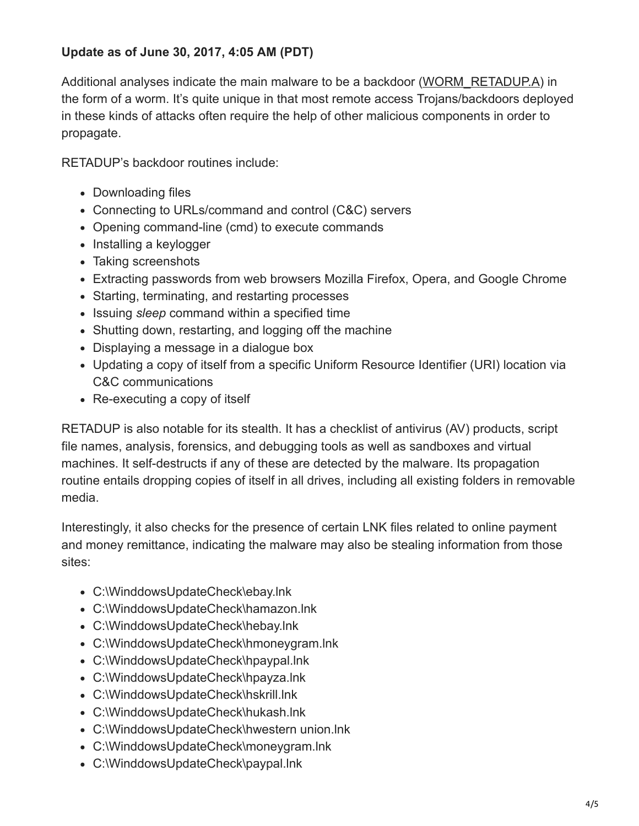#### **Update as of June 30, 2017, 4:05 AM (PDT)**

Additional analyses indicate the main malware to be a backdoor ([WORM\\_RETADUP.A\)](https://www.trendmicro.com/vinfo/us/threat-encyclopedia/malware/WORM_RETADUP.A) in the form of a worm. It's quite unique in that most remote access Trojans/backdoors deployed in these kinds of attacks often require the help of other malicious components in order to propagate.

RETADUP's backdoor routines include:

- Downloading files
- Connecting to URLs/command and control (C&C) servers
- Opening command-line (cmd) to execute commands
- Installing a keylogger
- Taking screenshots
- Extracting passwords from web browsers Mozilla Firefox, Opera, and Google Chrome
- Starting, terminating, and restarting processes
- Issuing *sleep* command within a specified time
- Shutting down, restarting, and logging off the machine
- Displaying a message in a dialogue box
- Updating a copy of itself from a specific Uniform Resource Identifier (URI) location via C&C communications
- Re-executing a copy of itself

RETADUP is also notable for its stealth. It has a checklist of antivirus (AV) products, script file names, analysis, forensics, and debugging tools as well as sandboxes and virtual machines. It self-destructs if any of these are detected by the malware. Its propagation routine entails dropping copies of itself in all drives, including all existing folders in removable media.

Interestingly, it also checks for the presence of certain LNK files related to online payment and money remittance, indicating the malware may also be stealing information from those sites:

- C:\WinddowsUpdateCheck\ebay.lnk
- C:\WinddowsUpdateCheck\hamazon.lnk
- C:\WinddowsUpdateCheck\hebay.lnk
- C:\WinddowsUpdateCheck\hmoneygram.lnk
- C:\WinddowsUpdateCheck\hpaypal.lnk
- C:\WinddowsUpdateCheck\hpayza.lnk
- C:\WinddowsUpdateCheck\hskrill.lnk
- C:\WinddowsUpdateCheck\hukash.lnk
- C:\WinddowsUpdateCheck\hwestern union.lnk
- C:\WinddowsUpdateCheck\moneygram.lnk
- C:\WinddowsUpdateCheck\paypal.lnk